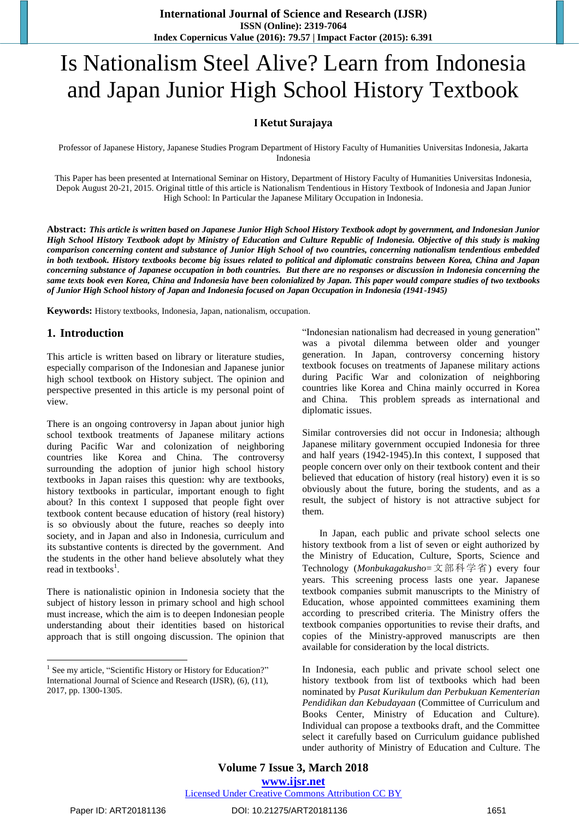# Is Nationalism Steel Alive? Learn from Indonesia and Japan Junior High School History Textbook

## **I Ketut Surajaya**

Professor of Japanese History, Japanese Studies Program Department of History Faculty of Humanities Universitas Indonesia, Jakarta Indonesia

This Paper has been presented at International Seminar on History, Department of History Faculty of Humanities Universitas Indonesia, Depok August 20-21, 2015. Original tittle of this article is Nationalism Tendentious in History Textbook of Indonesia and Japan Junior High School: In Particular the Japanese Military Occupation in Indonesia.

**Abstract:** *This article is written based on Japanese Junior High School History Textbook adopt by government, and Indonesian Junior High School History Textbook adopt by Ministry of Education and Culture Republic of Indonesia. Objective of this study is making comparison concerning content and substance of Junior High School of two countries, concerning nationalism tendentious embedded in both textbook. History textbooks become big issues related to political and diplomatic constrains between Korea, China and Japan concerning substance of Japanese occupation in both countries. But there are no responses or discussion in Indonesia concerning the same texts book even Korea, China and Indonesia have been colonialized by Japan. This paper would compare studies of two textbooks of Junior High School history of Japan and Indonesia focused on Japan Occupation in Indonesia (1941-1945)*

**Keywords:** History textbooks, Indonesia, Japan, nationalism, occupation.

## **1. Introduction**

This article is written based on library or literature studies, especially comparison of the Indonesian and Japanese junior high school textbook on History subject. The opinion and perspective presented in this article is my personal point of view.

There is an ongoing controversy in Japan about junior high school textbook treatments of Japanese military actions during Pacific War and colonization of neighboring countries like Korea and China. The controversy surrounding the adoption of junior high school history textbooks in Japan raises this question: why are textbooks, history textbooks in particular, important enough to fight about? In this context I supposed that people fight over textbook content because education of history (real history) is so obviously about the future, reaches so deeply into society, and in Japan and also in Indonesia, curriculum and its substantive contents is directed by the government. And the students in the other hand believe absolutely what they read in textbooks<sup>1</sup>.

There is nationalistic opinion in Indonesia society that the subject of history lesson in primary school and high school must increase, which the aim is to deepen Indonesian people understanding about their identities based on historical approach that is still ongoing discussion. The opinion that "Indonesian nationalism had decreased in young generation" was a pivotal dilemma between older and younger generation. In Japan, controversy concerning history textbook focuses on treatments of Japanese military actions during Pacific War and colonization of neighboring countries like Korea and China mainly occurred in Korea and China. This problem spreads as international and diplomatic issues.

Similar controversies did not occur in Indonesia; although Japanese military government occupied Indonesia for three and half years (1942-1945).In this context, I supposed that people concern over only on their textbook content and their believed that education of history (real history) even it is so obviously about the future, boring the students, and as a result, the subject of history is not attractive subject for them.

 In Japan, each public and private school selects one history textbook from a list of seven or eight authorized by the Ministry of Education, Culture, Sports, Science and Technology (*Monbukagakusho*=文部科学省) every four years. This screening process lasts one year. Japanese textbook companies submit manuscripts to the Ministry of Education, whose appointed committees examining them according to prescribed criteria. The Ministry offers the textbook companies opportunities to revise their drafts, and copies of the Ministry-approved manuscripts are then available for consideration by the local districts.

In Indonesia, each public and private school select one history textbook from list of textbooks which had been nominated by *Pusat Kurikulum dan Perbukuan Kementerian Pendidikan dan Kebudayaan* (Committee of Curriculum and Books Center, Ministry of Education and Culture). Individual can propose a textbooks draft, and the Committee select it carefully based on Curriculum guidance published under authority of Ministry of Education and Culture. The

<sup>&</sup>lt;sup>1</sup> See my article, "Scientific History or History for Education?" International Journal of Science and Research (IJSR), (6), (11), 2017, pp. 1300-1305.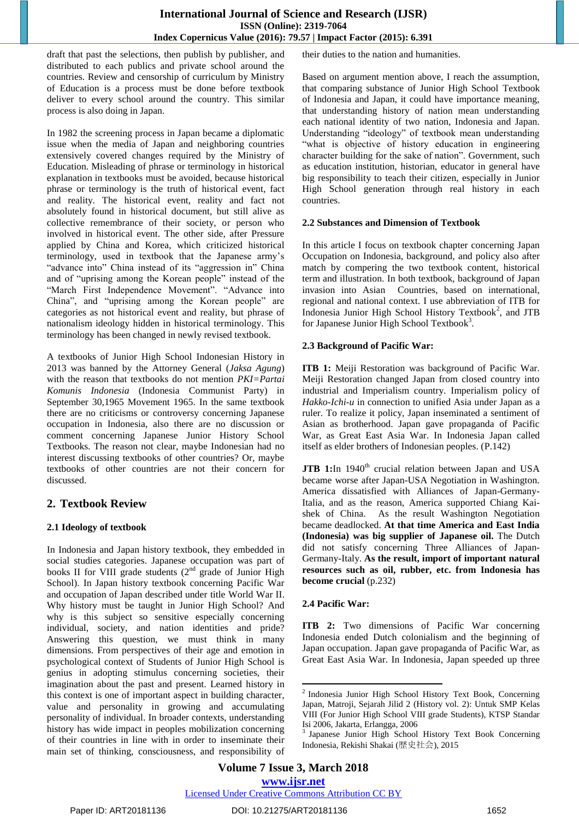draft that past the selections, then publish by publisher, and distributed to each publics and private school around the countries. Review and censorship of curriculum by Ministry of Education is a process must be done before textbook deliver to every school around the country. This similar process is also doing in Japan.

In 1982 the screening process in Japan became a diplomatic issue when the media of Japan and neighboring countries extensively covered changes required by the Ministry of Education. Misleading of phrase or terminology in historical explanation in textbooks must be avoided, because historical phrase or terminology is the truth of historical event, fact and reality. The historical event, reality and fact not absolutely found in historical document, but still alive as collective remembrance of their society, or person who involved in historical event. The other side, after Pressure applied by China and Korea, which criticized historical terminology, used in textbook that the Japanese army's "advance into" China instead of its "aggression in" China and of "uprising among the Korean people" instead of the "March First Independence Movement". "Advance into China", and "uprising among the Korean people" are categories as not historical event and reality, but phrase of nationalism ideology hidden in historical terminology. This terminology has been changed in newly revised textbook.

A textbooks of Junior High School Indonesian History in 2013 was banned by the Attorney General (*Jaksa Agung*) with the reason that textbooks do not mention *PKI=Partai Komunis Indonesia* (Indonesia Communist Party) in September 30,1965 Movement 1965. In the same textbook there are no criticisms or controversy concerning Japanese occupation in Indonesia, also there are no discussion or comment concerning Japanese Junior History School Textbooks. The reason not clear, maybe Indonesian had no interest discussing textbooks of other countries? Or, maybe textbooks of other countries are not their concern for discussed.

## **2. Textbook Review**

## **2.1 Ideology of textbook**

In Indonesia and Japan history textbook, they embedded in social studies categories. Japanese occupation was part of books II for VIII grade students  $(2<sup>nd</sup>$  grade of Junior High School). In Japan history textbook concerning Pacific War and occupation of Japan described under title World War II. Why history must be taught in Junior High School? And why is this subject so sensitive especially concerning individual, society, and nation identities and pride? Answering this question, we must think in many dimensions. From perspectives of their age and emotion in psychological context of Students of Junior High School is genius in adopting stimulus concerning societies, their imagination about the past and present. Learned history in this context is one of important aspect in building character, value and personality in growing and accumulating personality of individual. In broader contexts, understanding history has wide impact in peoples mobilization concerning of their countries in line with in order to inseminate their main set of thinking, consciousness, and responsibility of

their duties to the nation and humanities.

Based on argument mention above, I reach the assumption, that comparing substance of Junior High School Textbook of Indonesia and Japan, it could have importance meaning, that understanding history of nation mean understanding each national identity of two nation, Indonesia and Japan. Understanding "ideology" of textbook mean understanding "what is objective of history education in engineering character building for the sake of nation". Government, such as education institution, historian, educator in general have big responsibility to teach their citizen, especially in Junior High School generation through real history in each countries.

#### **2.2 Substances and Dimension of Textbook**

In this article I focus on textbook chapter concerning Japan Occupation on Indonesia, background, and policy also after match by compering the two textbook content, historical term and illustration. In both textbook, background of Japan invasion into Asian Countries, based on international, regional and national context. I use abbreviation of ITB for Indonesia Junior High School History Textbook<sup>2</sup>, and JTB for Japanese Junior High School Textbook<sup>3</sup>.

#### **2.3 Background of Pacific War:**

**ITB 1:** Meiji Restoration was background of Pacific War. Meiji Restoration changed Japan from closed country into industrial and Imperialism country. Imperialism policy of *Hakko-Ichi-u* in connection to unified Asia under Japan as a ruler. To realize it policy, Japan inseminated a sentiment of Asian as brotherhood. Japan gave propaganda of Pacific War, as Great East Asia War. In Indonesia Japan called itself as elder brothers of Indonesian peoples. (P.142)

JTB 1:In 1940<sup>th</sup> crucial relation between Japan and USA became worse after Japan-USA Negotiation in Washington. America dissatisfied with Alliances of Japan-Germany-Italia, and as the reason, America supported Chiang Kaishek of China. As the result Washington Negotiation became deadlocked. **At that time America and East India (Indonesia) was big supplier of Japanese oil.** The Dutch did not satisfy concerning Three Alliances of Japan-Germany-Italy. **As the result, import of important natural resources such as oil, rubber, etc. from Indonesia has become crucial** (p.232)

## **2.4 Pacific War:**

**ITB 2:** Two dimensions of Pacific War concerning Indonesia ended Dutch colonialism and the beginning of Japan occupation. Japan gave propaganda of Pacific War, as Great East Asia War. In Indonesia, Japan speeded up three

 $\overline{\phantom{a}}$ 

<sup>&</sup>lt;sup>2</sup> Indonesia Junior High School History Text Book, Concerning Japan, Matroji, Sejarah Jilid 2 (History vol. 2): Untuk SMP Kelas VIII (For Junior High School VIII grade Students), KTSP Standar Isi 2006, Jakarta, Erlangga, 2006

<sup>3</sup> Japanese Junior High School History Text Book Concerning Indonesia, Rekishi Shakai (歴史社会), 2015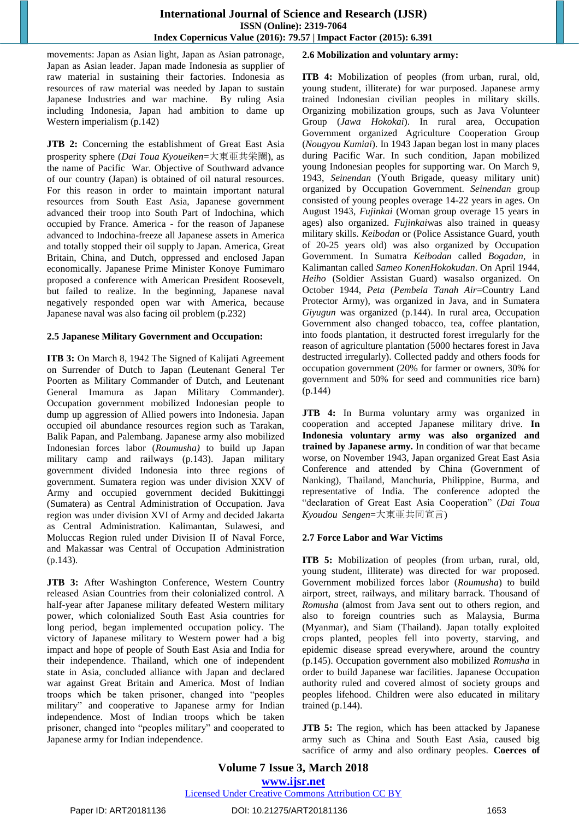movements: Japan as Asian light, Japan as Asian patronage, Japan as Asian leader. Japan made Indonesia as supplier of raw material in sustaining their factories. Indonesia as resources of raw material was needed by Japan to sustain Japanese Industries and war machine. By ruling Asia including Indonesia, Japan had ambition to dame up Western imperialism (p.142)

**JTB 2:** Concerning the establishment of Great East Asia prosperity sphere (*Dai Toua Kyoueiken*=大東亜共栄圏), as the name of Pacific War. Objective of Southward advance of our country (Japan) is obtained of oil natural resources. For this reason in order to maintain important natural resources from South East Asia, Japanese government advanced their troop into South Part of Indochina, which occupied by France. America - for the reason of Japanese advanced to Indochina-freeze all Japanese assets in America and totally stopped their oil supply to Japan. America, Great Britain, China, and Dutch, oppressed and enclosed Japan economically. Japanese Prime Minister Konoye Fumimaro proposed a conference with American President Roosevelt, but failed to realize. In the beginning, Japanese naval negatively responded open war with America, because Japanese naval was also facing oil problem (p.232)

#### **2.5 Japanese Military Government and Occupation:**

**ITB 3:** On March 8, 1942 The Signed of Kalijati Agreement on Surrender of Dutch to Japan (Leutenant General Ter Poorten as Military Commander of Dutch, and Leutenant General Imamura as Japan Military Commander). Occupation government mobilized Indonesian people to dump up aggression of Allied powers into Indonesia. Japan occupied oil abundance resources region such as Tarakan, Balik Papan, and Palembang. Japanese army also mobilized Indonesian forces labor (*Roumusha)* to build up Japan military camp and railways (p.143). Japan military government divided Indonesia into three regions of government. Sumatera region was under division XXV of Army and occupied government decided Bukittinggi (Sumatera) as Central Administration of Occupation. Java region was under division XVI of Army and decided Jakarta as Central Administration. Kalimantan, Sulawesi, and Moluccas Region ruled under Division II of Naval Force, and Makassar was Central of Occupation Administration (p.143).

**JTB 3:** After Washington Conference, Western Country released Asian Countries from their colonialized control. A half-year after Japanese military defeated Western military power, which colonialized South East Asia countries for long period, began implemented occupation policy. The victory of Japanese military to Western power had a big impact and hope of people of South East Asia and India for their independence. Thailand, which one of independent state in Asia, concluded alliance with Japan and declared war against Great Britain and America. Most of Indian troops which be taken prisoner, changed into "peoples military" and cooperative to Japanese army for Indian independence. Most of Indian troops which be taken prisoner, changed into "peoples military" and cooperated to Japanese army for Indian independence.

## **2.6 Mobilization and voluntary army:**

**ITB 4:** Mobilization of peoples (from urban, rural, old, young student, illiterate) for war purposed. Japanese army trained Indonesian civilian peoples in military skills. Organizing mobilization groups, such as Java Volunteer Group (*Jawa Hokokai*). In rural area, Occupation Government organized Agriculture Cooperation Group (*Nougyou Kumiai*). In 1943 Japan began lost in many places during Pacific War. In such condition, Japan mobilized young Indonesian peoples for supporting war. On March 9, 1943, *Seinendan* (Youth Brigade, queasy military unit) organized by Occupation Government. *Seinendan* group consisted of young peoples overage 14-22 years in ages. On August 1943, *Fujinkai* (Woman group overage 15 years in ages) also organized. *Fujinkai*was also trained in queasy military skills. *Keibodan* or (Police Assistance Guard, youth of 20-25 years old) was also organized by Occupation Government. In Sumatra *Keibodan* called *Bogadan*, in Kalimantan called *Sameo KonenHokokudan*. On April 1944, *Heiho* (Soldier Assistan Guard) wasalso organized. On October 1944, *Peta* (*Pembela Tanah Air*=Country Land Protector Army), was organized in Java, and in Sumatera *Giyugun* was organized (p.144). In rural area, Occupation Government also changed tobacco, tea, coffee plantation, into foods plantation, it destructed forest irregularly for the reason of agriculture plantation (5000 hectares forest in Java destructed irregularly). Collected paddy and others foods for occupation government (20% for farmer or owners, 30% for government and 50% for seed and communities rice barn) (p.144)

**JTB 4:** In Burma voluntary army was organized in cooperation and accepted Japanese military drive. **In Indonesia voluntary army was also organized and trained by Japanese army.** In condition of war that became worse, on November 1943, Japan organized Great East Asia Conference and attended by China (Government of Nanking), Thailand, Manchuria, Philippine, Burma, and representative of India. The conference adopted the "declaration of Great East Asia Cooperation" (*Dai Toua Kyoudou Sengen*=大東亜共同宣言)

## **2.7 Force Labor and War Victims**

**ITB 5:** Mobilization of peoples (from urban, rural, old, young student, illiterate) was directed for war proposed. Government mobilized forces labor (*Roumusha*) to build airport, street, railways, and military barrack. Thousand of *Romusha* (almost from Java sent out to others region, and also to foreign countries such as Malaysia, Burma (Myanmar), and Siam (Thailand). Japan totally exploited crops planted, peoples fell into poverty, starving, and epidemic disease spread everywhere, around the country (p.145). Occupation government also mobilized *Romusha* in order to build Japanese war facilities. Japanese Occupation authority ruled and covered almost of society groups and peoples lifehood. Children were also educated in military trained (p.144).

**JTB 5:** The region, which has been attacked by Japanese army such as China and South East Asia, caused big sacrifice of army and also ordinary peoples. **Coerces of** 

**Volume 7 Issue 3, March 2018 <www.ijsr.net>** [Licensed Under Creative Commons Attribution CC BY](http://creativecommons.org/licenses/by/4.0/)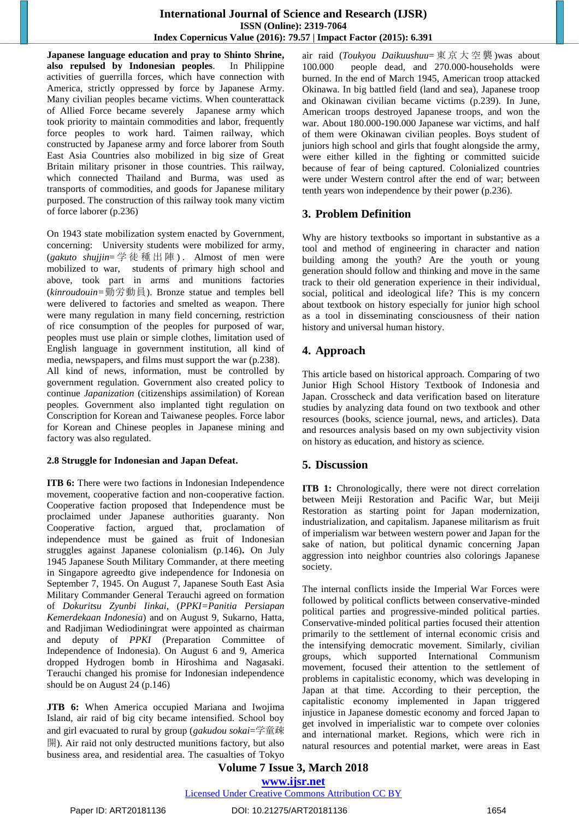**Japanese language education and pray to Shinto Shrine, also repulsed by Indonesian peoples**. In Philippine activities of guerrilla forces, which have connection with America, strictly oppressed by force by Japanese Army. Many civilian peoples became victims. When counterattack of Allied Force became severely Japanese army which took priority to maintain commodities and labor, frequently force peoples to work hard. Taimen railway, which constructed by Japanese army and force laborer from South East Asia Countries also mobilized in big size of Great Britain military prisoner in those countries. This railway, which connected Thailand and Burma, was used as transports of commodities, and goods for Japanese military purposed. The construction of this railway took many victim of force laborer (p.236)

On 1943 state mobilization system enacted by Government, concerning: University students were mobilized for army, (*gakuto shujjin*= 学 徒 種 出 陣 ) . Almost of men were mobilized to war, students of primary high school and above, took part in arms and munitions factories (*kinroudouin=*勤労動員). Bronze statue and temples bell were delivered to factories and smelted as weapon. There were many regulation in many field concerning, restriction of rice consumption of the peoples for purposed of war, peoples must use plain or simple clothes, limitation used of English language in government institution, all kind of media, newspapers, and films must support the war (p.238). All kind of news, information, must be controlled by government regulation. Government also created policy to continue *Japanization* (citizenships assimilation) of Korean peoples. Government also implanted tight regulation on Conscription for Korean and Taiwanese peoples. Force labor for Korean and Chinese peoples in Japanese mining and factory was also regulated.

#### **2.8 Struggle for Indonesian and Japan Defeat.**

**ITB 6:** There were two factions in Indonesian Independence movement, cooperative faction and non-cooperative faction. Cooperative faction proposed that Independence must be proclaimed under Japanese authorities guaranty. Non Cooperative faction, argued that, proclamation of independence must be gained as fruit of Indonesian struggles against Japanese colonialism (p.146)**.** On July 1945 Japanese South Military Commander, at there meeting in Singapore agreedto give independence for Indonesia on September 7, 1945. On August 7, Japanese South East Asia Military Commander General Terauchi agreed on formation of *Dokuritsu Zyunbi Iinkai,* (*PPKI=Panitia Persiapan Kemerdekaan Indonesia*) and on August 9, Sukarno, Hatta, and Radjiman Wediodiningrat were appointed as chairman and deputy of *PPKI* (Preparation Committee of Independence of Indonesia). On August 6 and 9, America dropped Hydrogen bomb in Hiroshima and Nagasaki. Terauchi changed his promise for Indonesian independence should be on August 24 (p.146)

**JTB 6:** When America occupied Mariana and Iwojima Island, air raid of big city became intensified. School boy and girl evacuated to rural by group (*gakudou sokai*=学童疎 開). Air raid not only destructed munitions factory, but also business area, and residential area. The casualties of Tokyo air raid (*Toukyou Daikuushuu*= 東 京 大 空 襲 )was about 100.000 people dead, and 270.000-households were burned. In the end of March 1945, American troop attacked Okinawa. In big battled field (land and sea), Japanese troop and Okinawan civilian became victims (p.239). In June, American troops destroyed Japanese troops, and won the war. About 180.000-190.000 Japanese war victims, and half of them were Okinawan civilian peoples. Boys student of juniors high school and girls that fought alongside the army, were either killed in the fighting or committed suicide because of fear of being captured. Colonialized countries were under Western control after the end of war; between tenth years won independence by their power (p.236).

# **3. Problem Definition**

Why are history textbooks so important in substantive as a tool and method of engineering in character and nation building among the youth? Are the youth or young generation should follow and thinking and move in the same track to their old generation experience in their individual, social, political and ideological life? This is my concern about textbook on history especially for junior high school as a tool in disseminating consciousness of their nation history and universal human history.

# **4. Approach**

This article based on historical approach. Comparing of two Junior High School History Textbook of Indonesia and Japan. Crosscheck and data verification based on literature studies by analyzing data found on two textbook and other resources (books, science journal, news, and articles). Data and resources analysis based on my own subjectivity vision on history as education, and history as science.

# **5. Discussion**

**ITB 1:** Chronologically, there were not direct correlation between Meiji Restoration and Pacific War, but Meiji Restoration as starting point for Japan modernization, industrialization, and capitalism. Japanese militarism as fruit of imperialism war between western power and Japan for the sake of nation, but political dynamic concerning Japan aggression into neighbor countries also colorings Japanese society.

The internal conflicts inside the Imperial War Forces were followed by political conflicts between conservative-minded political parties and progressive-minded political parties. Conservative-minded political parties focused their attention primarily to the settlement of internal economic crisis and the intensifying democratic movement. Similarly, civilian groups, which supported International Communism movement, focused their attention to the settlement of problems in capitalistic economy, which was developing in Japan at that time. According to their perception, the capitalistic economy implemented in Japan triggered injustice in Japanese domestic economy and forced Japan to get involved in imperialistic war to compete over colonies and international market. Regions, which were rich in natural resources and potential market, were areas in East

**Volume 7 Issue 3, March 2018 <www.ijsr.net>**

# [Licensed Under Creative Commons Attribution CC BY](http://creativecommons.org/licenses/by/4.0/)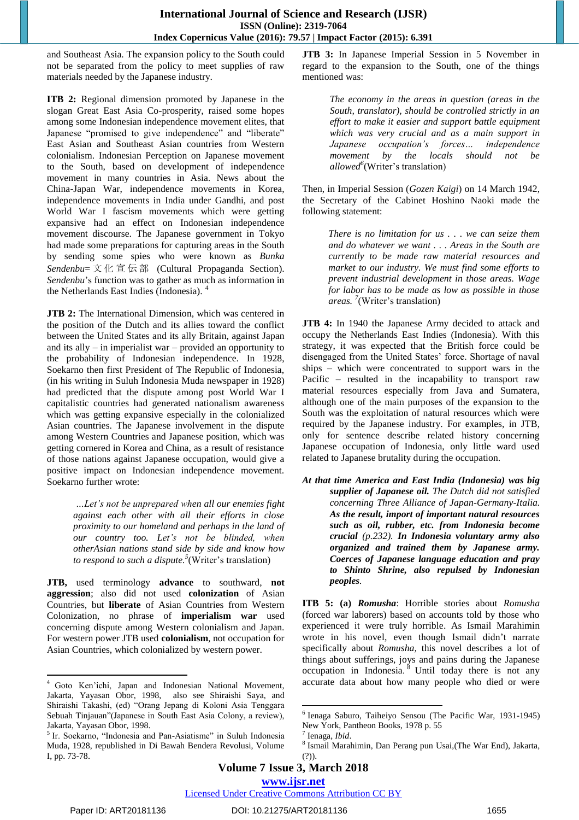and Southeast Asia. The expansion policy to the South could not be separated from the policy to meet supplies of raw materials needed by the Japanese industry.

**ITB 2:** Regional dimension promoted by Japanese in the slogan Great East Asia Co-prosperity, raised some hopes among some Indonesian independence movement elites, that Japanese "promised to give independence" and "liberate" East Asian and Southeast Asian countries from Western colonialism. Indonesian Perception on Japanese movement to the South, based on development of independence movement in many countries in Asia. News about the China-Japan War, independence movements in Korea, independence movements in India under Gandhi, and post World War I fascism movements which were getting expansive had an effect on Indonesian independence movement discourse. The Japanese government in Tokyo had made some preparations for capturing areas in the South by sending some spies who were known as *Bunka Sendenbu*= 文 化 宣 伝 部 (Cultural Propaganda Section). *Sendenbu*'s function was to gather as much as information in the Netherlands East Indies (Indonesia). <sup>4</sup>

**JTB 2:** The International Dimension, which was centered in the position of the Dutch and its allies toward the conflict between the United States and its ally Britain, against Japan and its ally – in imperialist war – provided an opportunity to the probability of Indonesian independence. In 1928, Soekarno then first President of The Republic of Indonesia, (in his writing in Suluh Indonesia Muda newspaper in 1928) had predicted that the dispute among post World War I capitalistic countries had generated nationalism awareness which was getting expansive especially in the colonialized Asian countries. The Japanese involvement in the dispute among Western Countries and Japanese position, which was getting cornered in Korea and China, as a result of resistance of those nations against Japanese occupation, would give a positive impact on Indonesian independence movement. Soekarno further wrote:

> *…Let's not be unprepared when all our enemies fight against each other with all their efforts in close proximity to our homeland and perhaps in the land of our country too. Let's not be blinded, when otherAsian nations stand side by side and know how to respond to such a dispute.<sup>5</sup>* (Writer's translation)

**JTB,** used terminology **advance** to southward, **not aggression**; also did not used **colonization** of Asian Countries, but **liberate** of Asian Countries from Western Colonization, no phrase of **imperialism war** used concerning dispute among Western colonialism and Japan. For western power JTB used **colonialism**, not occupation for Asian Countries, which colonialized by western power.

**JTB 3:** In Japanese Imperial Session in 5 November in regard to the expansion to the South, one of the things mentioned was:

> *The economy in the areas in question (areas in the South, translator), should be controlled strictly in an effort to make it easier and support battle equipment which was very crucial and as a main support in Japanese occupation's forces… independence movement by the locals should not be allowed<sup>6</sup>* (Writer's translation)

Then, in Imperial Session (*Gozen Kaigi*) on 14 March 1942, the Secretary of the Cabinet Hoshino Naoki made the following statement:

> *There is no limitation for us . . . we can seize them and do whatever we want . . . Areas in the South are currently to be made raw material resources and market to our industry. We must find some efforts to prevent industrial development in those areas. Wage for labor has to be made as low as possible in those areas. 7* (Writer's translation)

**JTB 4:** In 1940 the Japanese Army decided to attack and occupy the Netherlands East Indies (Indonesia). With this strategy, it was expected that the British force could be disengaged from the United States' force. Shortage of naval ships – which were concentrated to support wars in the Pacific – resulted in the incapability to transport raw material resources especially from Java and Sumatera, although one of the main purposes of the expansion to the South was the exploitation of natural resources which were required by the Japanese industry. For examples, in JTB, only for sentence describe related history concerning Japanese occupation of Indonesia, only little ward used related to Japanese brutality during the occupation.

*At that time America and East India (Indonesia) was big supplier of Japanese oil. The Dutch did not satisfied concerning Three Alliance of Japan-Germany-Italia. As the result, import of important natural resources such as oil, rubber, etc. from Indonesia become crucial (p.232). In Indonesia voluntary army also organized and trained them by Japanese army. Coerces of Japanese language education and pray to Shinto Shrine, also repulsed by Indonesian peoples.*

**ITB 5: (a)** *Romusha*: Horrible stories about *Romusha* (forced war laborers) based on accounts told by those who experienced it were truly horrible. As Ismail Marahimin wrote in his novel, even though Ismail didn't narrate specifically about *Romusha,* this novel describes a lot of things about sufferings, joys and pains during the Japanese occupation in Indonesia. <sup>8</sup> Until today there is not any accurate data about how many people who died or were

 $\overline{\phantom{a}}$ 

<sup>4</sup> Goto Ken'ichi, Japan and Indonesian National Movement, Jakarta, Yayasan Obor, 1998, also see Shiraishi Saya, and Shiraishi Takashi, (ed) "Orang Jepang di Koloni Asia Tenggara Sebuah Tinjauan"(Japanese in South East Asia Colony, a review), Jakarta, Yayasan Obor, 1998.

<sup>5</sup> Ir. Soekarno, "Indonesia and Pan-Asiatisme" in Suluh Indonesia Muda, 1928, republished in Di Bawah Bendera Revolusi, Volume I, pp. 73-78.

 $\overline{\phantom{a}}$ 6 Ienaga Saburo, Taiheiyo Sensou (The Pacific War, 1931-1945) New York, Pantheon Books, 1978 p. 55

<sup>7</sup> Ienaga, *Ibid*.

<sup>8</sup> Ismail Marahimin, Dan Perang pun Usai,(The War End), Jakarta, (?)).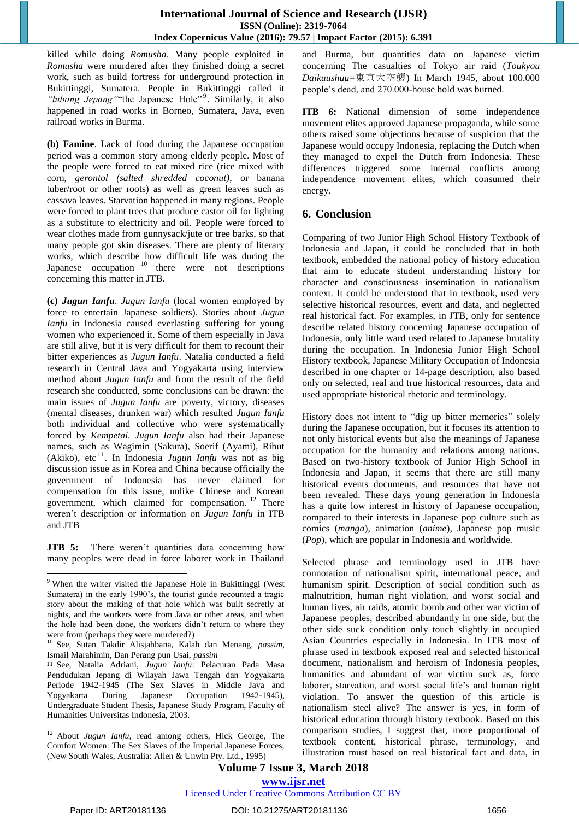killed while doing *Romusha*. Many people exploited in *Romusha* were murdered after they finished doing a secret work, such as build fortress for underground protection in Bukittinggi, Sumatera. People in Bukittinggi called it "lubang Jepang" "the Japanese Hole"<sup>9</sup>. Similarly, it also happened in road works in Borneo, Sumatera, Java, even railroad works in Burma.

**(b) Famine**. Lack of food during the Japanese occupation period was a common story among elderly people. Most of the people were forced to eat mixed rice (rice mixed with corn, *gerontol (salted shredded coconut)*, or banana tuber/root or other roots) as well as green leaves such as cassava leaves. Starvation happened in many regions. People were forced to plant trees that produce castor oil for lighting as a substitute to electricity and oil. People were forced to wear clothes made from gunnysack/jute or tree barks, so that many people got skin diseases. There are plenty of literary works, which describe how difficult life was during the Japanese occupation<sup>10</sup> there were not descriptions concerning this matter in JTB.

**(c)** *Jugun Ianfu*. *Jugun Ianfu* (local women employed by force to entertain Japanese soldiers). Stories about *Jugun Ianfu* in Indonesia caused everlasting suffering for young women who experienced it. Some of them especially in Java are still alive, but it is very difficult for them to recount their bitter experiences as *Jugun Ianfu*. Natalia conducted a field research in Central Java and Yogyakarta using interview method about *Jugun Ianfu* and from the result of the field research she conducted, some conclusions can be drawn: the main issues of *Jugun Ianfu* are poverty, victory, diseases (mental diseases, drunken war) which resulted *Jugun Ianfu* both individual and collective who were systematically forced by *Kempetai. Jugun Ianfu* also had their Japanese names, such as Wagimin (Sakura), Soerif (Ayami), Ribut (Akiko), etc<sup>11</sup>. In Indonesia *Jugun Ianfu* was not as big discussion issue as in Korea and China because officially the government of Indonesia has never claimed for compensation for this issue, unlike Chinese and Korean government, which claimed for compensation. <sup>12</sup> There weren't description or information on *Jugun Ianfu* in ITB and JTB

**JTB 5:** There weren't quantities data concerning how many peoples were dead in force laborer work in Thailand

and Burma, but quantities data on Japanese victim concerning The casualties of Tokyo air raid (*Toukyou Daikuushuu*=東京大空襲) In March 1945, about 100.000 people's dead, and 270.000-house hold was burned.

**ITB 6:** National dimension of some independence movement elites approved Japanese propaganda, while some others raised some objections because of suspicion that the Japanese would occupy Indonesia, replacing the Dutch when they managed to expel the Dutch from Indonesia. These differences triggered some internal conflicts among independence movement elites, which consumed their energy.

# **6. Conclusion**

Comparing of two Junior High School History Textbook of Indonesia and Japan, it could be concluded that in both textbook, embedded the national policy of history education that aim to educate student understanding history for character and consciousness insemination in nationalism context. It could be understood that in textbook, used very selective historical resources, event and data, and neglected real historical fact. For examples, in JTB, only for sentence describe related history concerning Japanese occupation of Indonesia, only little ward used related to Japanese brutality during the occupation. In Indonesia Junior High School History textbook, Japanese Military Occupation of Indonesia described in one chapter or 14-page description, also based only on selected, real and true historical resources, data and used appropriate historical rhetoric and terminology.

History does not intent to "dig up bitter memories" solely during the Japanese occupation, but it focuses its attention to not only historical events but also the meanings of Japanese occupation for the humanity and relations among nations. Based on two-history textbook of Junior High School in Indonesia and Japan, it seems that there are still many historical events documents, and resources that have not been revealed. These days young generation in Indonesia has a quite low interest in history of Japanese occupation, compared to their interests in Japanese pop culture such as comics (*manga*), animation (*anime*), Japanese pop music (*Pop*), which are popular in Indonesia and worldwide.

Selected phrase and terminology used in JTB have connotation of nationalism spirit, international peace, and humanism spirit. Description of social condition such as malnutrition, human right violation, and worst social and human lives, air raids, atomic bomb and other war victim of Japanese peoples, described abundantly in one side, but the other side suck condition only touch slightly in occupied Asian Countries especially in Indonesia. In ITB most of phrase used in textbook exposed real and selected historical document, nationalism and heroism of Indonesia peoples, humanities and abundant of war victim suck as, force laborer, starvation, and worst social life's and human right violation. To answer the question of this article is nationalism steel alive? The answer is yes, in form of historical education through history textbook. Based on this comparison studies, I suggest that, more proportional of textbook content, historical phrase, terminology, and illustration must based on real historical fact and data, in

**Volume 7 Issue 3, March 2018 <www.ijsr.net>**

## [Licensed Under Creative Commons Attribution CC BY](http://creativecommons.org/licenses/by/4.0/)

 $\overline{\phantom{a}}$ 

<sup>9</sup> When the writer visited the Japanese Hole in Bukittinggi (West Sumatera) in the early 1990's, the tourist guide recounted a tragic story about the making of that hole which was built secretly at nights, and the workers were from Java or other areas, and when the hole had been done, the workers didn't return to where they were from (perhaps they were murdered?)

<sup>10</sup> See, Sutan Takdir Alisjahbana, Kalah dan Menang, *passim,*  Ismail Marahimin, Dan Perang pun Usai, *passim*

<sup>11</sup> See, Natalia Adriani, *Jugun Ianfu*: Pelacuran Pada Masa Pendudukan Jepang di Wilayah Jawa Tengah dan Yogyakarta Periode 1942-1945 (The Sex Slaves in Middle Java and Yogyakarta During Japanese Occupation 1942-1945), Undergraduate Student Thesis, Japanese Study Program, Faculty of Humanities Universitas Indonesia, 2003.

<sup>12</sup> About *Jugun Ianfu*, read among others, Hick George, The Comfort Women: The Sex Slaves of the Imperial Japanese Forces, (New South Wales, Australia: Allen & Unwin Pty. Ltd., 1995)